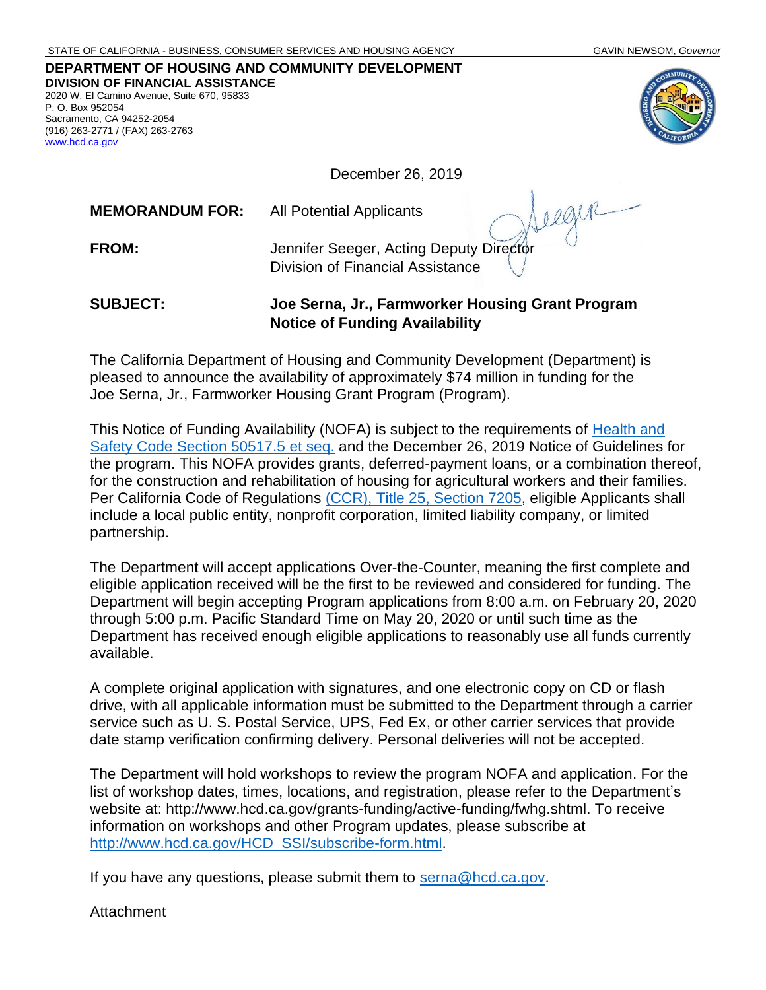## **DEPARTMENT OF HOUSING AND COMMUNITY DEVELOPMENT DIVISION OF FINANCIAL ASSISTANCE** 2020 W. El Camino Avenue, Suite 670, 95833

P. O. Box 952054 Sacramento, CA 94252-2054 (916) 263-2771 / (FAX) 263-2763 [www.hcd.ca.gov](http://www.hcd.ca.gov/)



December 26, 2019

**MEMORANDUM FOR:** All Potential Applicants

**FROM:** Jennifer Seeger, Acting Deputy Director Division of Financial Assistance

## **SUBJECT: Joe Serna, Jr., Farmworker Housing Grant Program Notice of Funding Availability**

The California Department of Housing and Community Development (Department) is pleased to announce the availability of approximately \$74 million in funding for the Joe Serna, Jr., Farmworker Housing Grant Program (Program).

This Notice of Funding Availability (NOFA) is subject to the requirements of [Health and](https://leginfo.legislature.ca.gov/faces/codes_displayText.xhtml?lawCode=HSC&division=31.&title=&part=2.&chapter=3.2.&article=)  Safety Code Section 50517.5 et seq. and the December 26, 2019 Notice of Guidelines for the program. This NOFA provides grants, deferred-payment loans, or a combination thereof, for the construction and rehabilitation of housing for agricultural workers and their families. Per California Code of Regulations [\(CCR\), Title 25,](https://govt.westlaw.com/calregs/Document/IDD9A4570D45411DEB97CF67CD0B99467?viewType=FullText&originationContext=documenttoc&transitionType=CategoryPageItem&contextData=(sc.Default)) Section 7205, eligible Applicants shall include a local public entity, nonprofit corporation, limited liability company, or limited partnership.

The Department will accept applications Over-the-Counter, meaning the first complete and eligible application received will be the first to be reviewed and considered for funding. The Department will begin accepting Program applications from 8:00 a.m. on February 20, 2020 through 5:00 p.m. Pacific Standard Time on May 20, 2020 or until such time as the Department has received enough eligible applications to reasonably use all funds currently available.

A complete original application with signatures, and one electronic copy on CD or flash drive, with all applicable information must be submitted to the Department through a carrier service such as U. S. Postal Service, UPS, Fed Ex, or other carrier services that provide date stamp verification confirming delivery. Personal deliveries will not be accepted.

The Department will hold workshops to review the program NOFA and application. For the list of workshop dates, times, locations, and registration, please refer to the Department's website at: [http://www.hcd.ca.gov/grants-funding/active-funding/fwhg.shtml.](http://www.hcd.ca.gov/grants-funding/active-funding/fwhg.shtml) To receive information on workshops and other Program updates, please subscribe at [http://www.hcd.ca.gov/HCD\\_SSI/subscribe-form.html.](http://www.hcd.ca.gov/HCD_SSI/subscribe-form.html)

If you have any questions, please submit them to [serna@hcd.ca.gov.](mailto:serna@hcd.ca.gov)

Attachment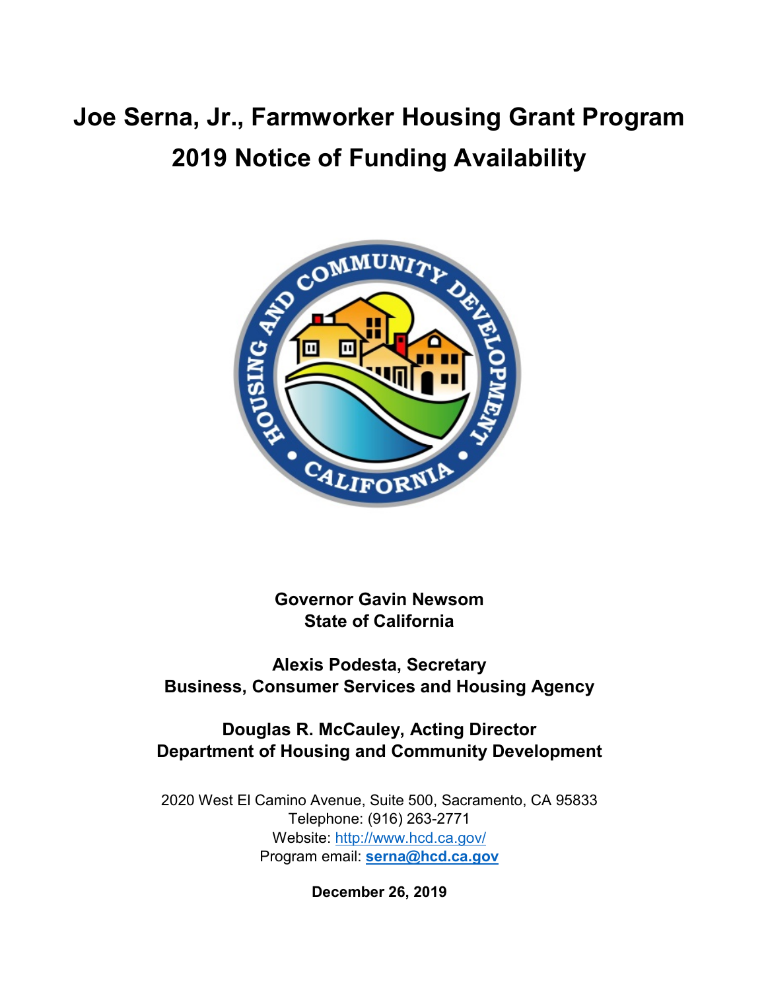# **Joe Serna, Jr., Farmworker Housing Grant Program 2019 Notice of Funding Availability**



**Governor Gavin Newsom State of California**

**Alexis Podesta, Secretary Business, Consumer Services and Housing Agency**

# **Douglas R. McCauley, Acting Director Department of Housing and Community Development**

2020 West El Camino Avenue, Suite 500, Sacramento, CA 95833 Telephone: (916) 263-2771 Website: <http://www.hcd.ca.gov/> Program email: **[serna@hcd.ca.gov](mailto:serna@hcd.ca.gov)**

**December 26, 2019**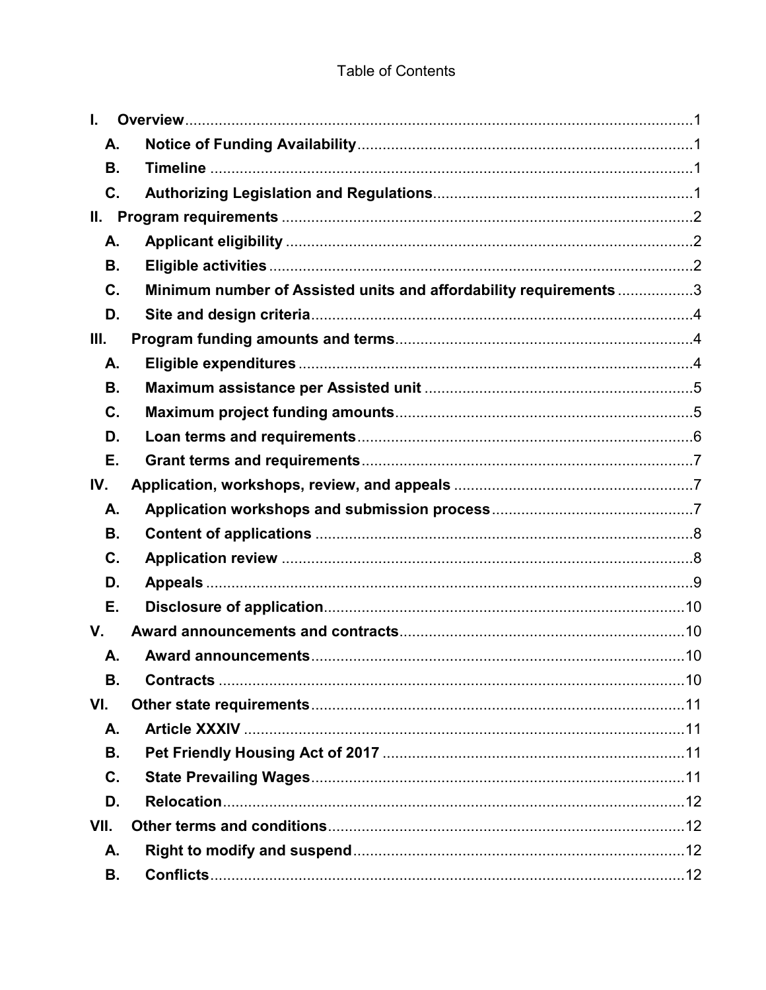## **Table of Contents**

| $\mathbf{L}$ |                                                                   |  |
|--------------|-------------------------------------------------------------------|--|
| А.           |                                                                   |  |
| В.           |                                                                   |  |
| C.           |                                                                   |  |
| Ш.           |                                                                   |  |
| А.           |                                                                   |  |
| В.           |                                                                   |  |
| C.           | Minimum number of Assisted units and affordability requirements 3 |  |
| D.           |                                                                   |  |
| III.         |                                                                   |  |
| А.           |                                                                   |  |
| В.           |                                                                   |  |
| C.           |                                                                   |  |
| D.           |                                                                   |  |
| Е.           |                                                                   |  |
| IV.          |                                                                   |  |
| А.           |                                                                   |  |
| В.           |                                                                   |  |
| C.           |                                                                   |  |
| D.           |                                                                   |  |
| Е.           |                                                                   |  |
|              |                                                                   |  |
| V.           |                                                                   |  |
| А.           |                                                                   |  |
| В.           |                                                                   |  |
| VI.          |                                                                   |  |
| А.           |                                                                   |  |
| В.           |                                                                   |  |
| C.           |                                                                   |  |
| D.           |                                                                   |  |
| VII.         |                                                                   |  |
| А.           |                                                                   |  |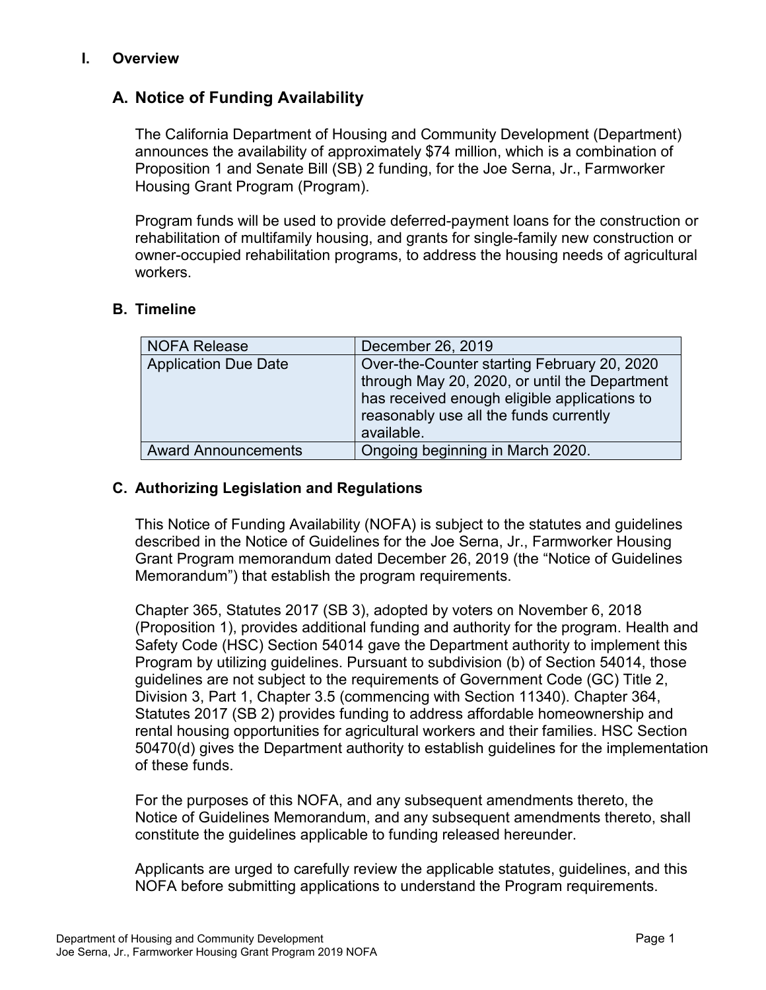#### <span id="page-3-0"></span>**I. Overview**

## <span id="page-3-1"></span>**A. Notice of Funding Availability**

The California Department of Housing and Community Development (Department) announces the availability of approximately \$74 million, which is a combination of Proposition 1 and Senate Bill (SB) 2 funding, for the Joe Serna, Jr., Farmworker Housing Grant Program (Program).

Program funds will be used to provide deferred-payment loans for the construction or rehabilitation of multifamily housing, and grants for single-family new construction or owner-occupied rehabilitation programs, to address the housing needs of agricultural workers.

## <span id="page-3-2"></span>**B. Timeline**

| <b>NOFA Release</b>         | December 26, 2019                             |
|-----------------------------|-----------------------------------------------|
| <b>Application Due Date</b> | Over-the-Counter starting February 20, 2020   |
|                             | through May 20, 2020, or until the Department |
|                             | has received enough eligible applications to  |
|                             | reasonably use all the funds currently        |
|                             | available.                                    |
| <b>Award Announcements</b>  | Ongoing beginning in March 2020.              |

#### <span id="page-3-3"></span>**C. Authorizing Legislation and Regulations**

This Notice of Funding Availability (NOFA) is subject to the statutes and guidelines described in the Notice of Guidelines for the Joe Serna, Jr., Farmworker Housing Grant Program memorandum dated December 26, 2019 (the "Notice of Guidelines Memorandum") that establish the program requirements.

Chapter 365, Statutes 2017 (SB 3), adopted by voters on November 6, 2018 (Proposition 1), provides additional funding and authority for the program. Health and Safety Code (HSC) Section 54014 gave the Department authority to implement this Program by utilizing guidelines. Pursuant to subdivision (b) of Section 54014, those guidelines are not subject to the requirements of Government Code (GC) Title 2, Division 3, Part 1, Chapter 3.5 (commencing with Section 11340). Chapter 364, Statutes 2017 (SB 2) provides funding to address affordable homeownership and rental housing opportunities for agricultural workers and their families. HSC Section 50470(d) gives the Department authority to establish guidelines for the implementation of these funds.

For the purposes of this NOFA, and any subsequent amendments thereto, the Notice of Guidelines Memorandum, and any subsequent amendments thereto, shall constitute the guidelines applicable to funding released hereunder.

Applicants are urged to carefully review the applicable statutes, guidelines, and this NOFA before submitting applications to understand the Program requirements.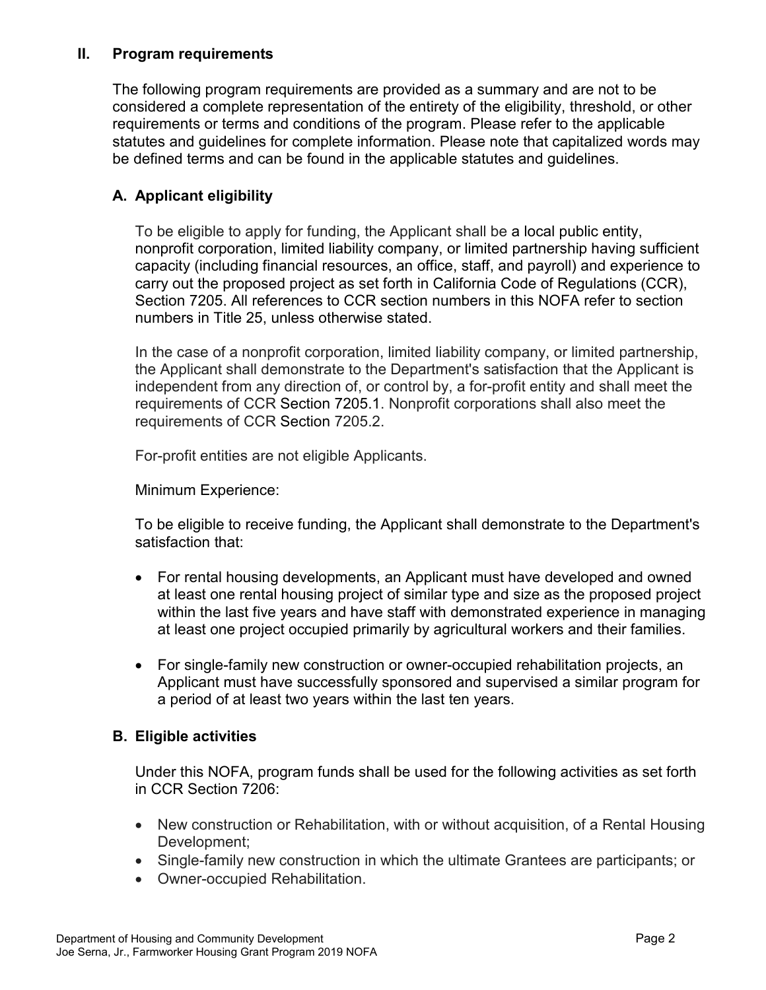## <span id="page-4-0"></span>**II. Program requirements**

The following program requirements are provided as a summary and are not to be considered a complete representation of the entirety of the eligibility, threshold, or other requirements or terms and conditions of the program. Please refer to the applicable statutes and guidelines for complete information. Please note that capitalized words may be defined terms and can be found in the applicable statutes and guidelines.

## <span id="page-4-1"></span>**A. Applicant eligibility**

To be eligible to apply for funding, the Applicant shall be a local public entity, nonprofit corporation, limited liability company, or limited partnership having sufficient capacity (including financial resources, an office, staff, and payroll) and experience to carry out the proposed project as set forth in California Code of Regulations (CCR), Section 7205. All references to CCR section numbers in this NOFA refer to section numbers in Title 25, unless otherwise stated.

In the case of a nonprofit corporation, limited liability company, or limited partnership, the Applicant shall demonstrate to the Department's satisfaction that the Applicant is independent from any direction of, or control by, a for-profit entity and shall meet the requirements of CCR Section 7205.1. Nonprofit corporations shall also meet the requirements of CCR Section 7205.2.

For-profit entities are not eligible Applicants.

Minimum Experience:

To be eligible to receive funding, the Applicant shall demonstrate to the Department's satisfaction that:

- For rental housing developments, an Applicant must have developed and owned at least one rental housing project of similar type and size as the proposed project within the last five years and have staff with demonstrated experience in managing at least one project occupied primarily by agricultural workers and their families.
- For single-family new construction or owner-occupied rehabilitation projects, an Applicant must have successfully sponsored and supervised a similar program for a period of at least two years within the last ten years.

#### <span id="page-4-2"></span>**B. Eligible activities**

Under this NOFA, program funds shall be used for the following activities as set forth in CCR Section 7206:

- New construction or Rehabilitation, with or without acquisition, of a Rental Housing Development;
- Single-family new construction in which the ultimate Grantees are participants; or
- Owner-occupied Rehabilitation.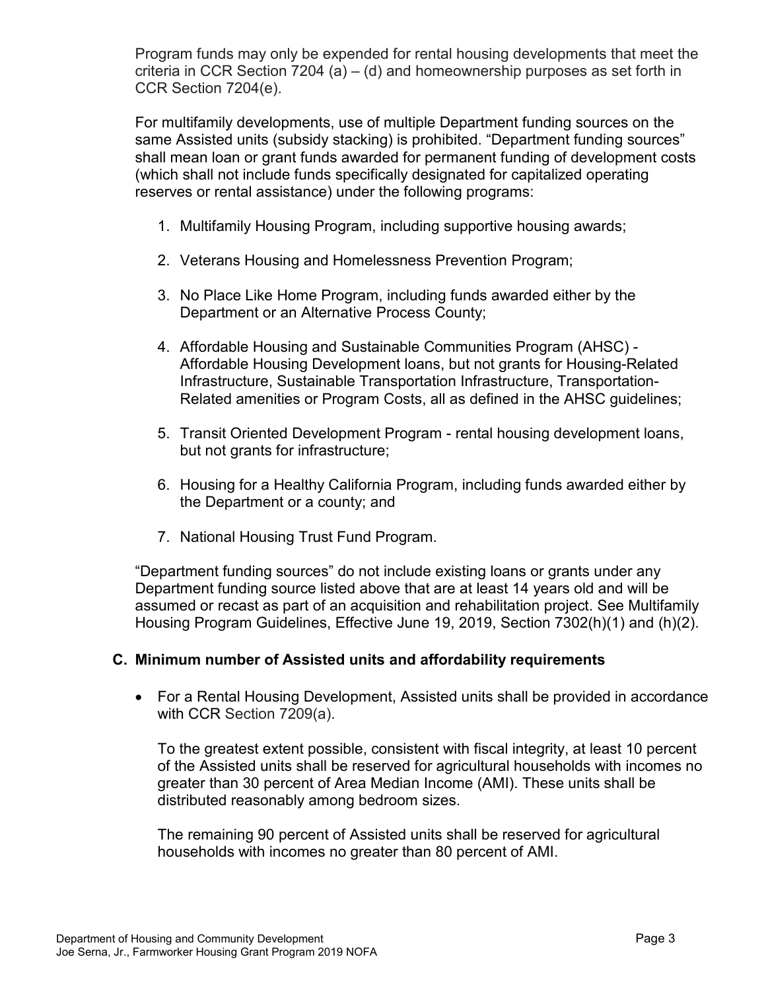Program funds may only be expended for rental housing developments that meet the criteria in CCR Section 7204 (a) – (d) and homeownership purposes as set forth in CCR Section 7204(e).

For multifamily developments, use of multiple Department funding sources on the same Assisted units (subsidy stacking) is prohibited. "Department funding sources" shall mean loan or grant funds awarded for permanent funding of development costs (which shall not include funds specifically designated for capitalized operating reserves or rental assistance) under the following programs:

- 1. Multifamily Housing Program, including supportive housing awards;
- 2. Veterans Housing and Homelessness Prevention Program;
- 3. No Place Like Home Program, including funds awarded either by the Department or an Alternative Process County;
- 4. Affordable Housing and Sustainable Communities Program (AHSC) Affordable Housing Development loans, but not grants for Housing-Related Infrastructure, Sustainable Transportation Infrastructure, Transportation-Related amenities or Program Costs, all as defined in the AHSC guidelines;
- 5. Transit Oriented Development Program rental housing development loans, but not grants for infrastructure;
- 6. Housing for a Healthy California Program, including funds awarded either by the Department or a county; and
- 7. National Housing Trust Fund Program.

"Department funding sources" do not include existing loans or grants under any Department funding source listed above that are at least 14 years old and will be assumed or recast as part of an acquisition and rehabilitation project. See Multifamily Housing Program Guidelines, Effective June 19, 2019, Section 7302(h)(1) and (h)(2).

## <span id="page-5-0"></span>**C. Minimum number of Assisted units and affordability requirements**

• For a Rental Housing Development, Assisted units shall be provided in accordance with CCR Section 7209(a).

To the greatest extent possible, consistent with fiscal integrity, at least 10 percent of the Assisted units shall be reserved for agricultural households with incomes no greater than 30 percent of Area Median Income (AMI). These units shall be distributed reasonably among bedroom sizes.

The remaining 90 percent of Assisted units shall be reserved for agricultural households with incomes no greater than 80 percent of AMI.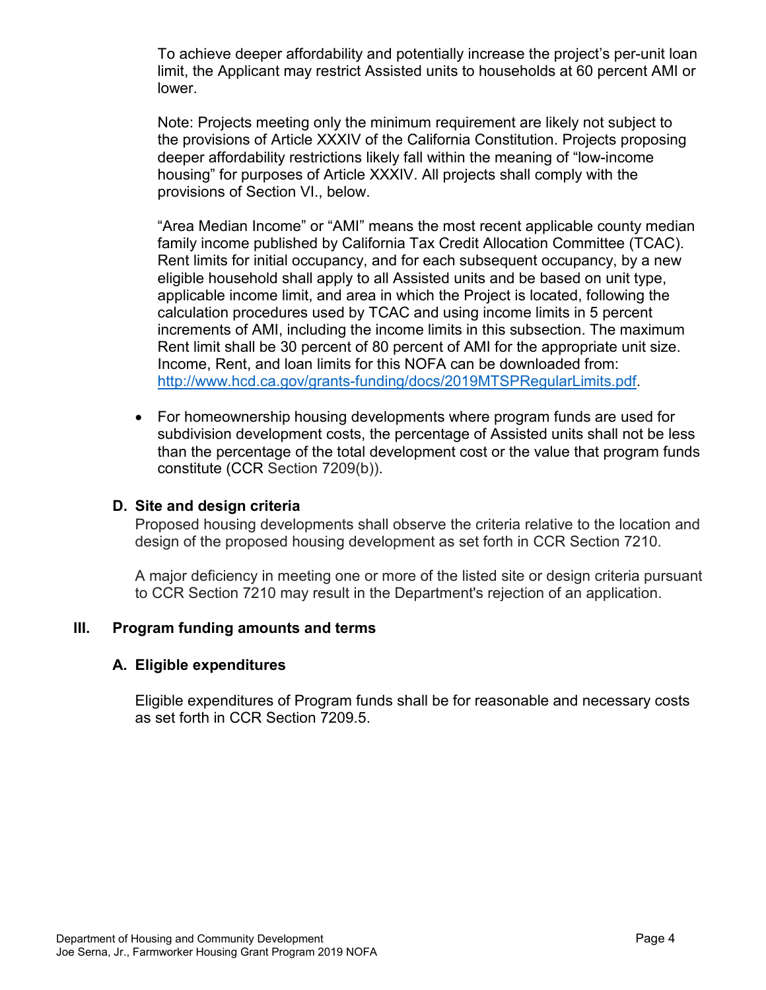To achieve deeper affordability and potentially increase the project's per-unit loan limit, the Applicant may restrict Assisted units to households at 60 percent AMI or lower.

Note: Projects meeting only the minimum requirement are likely not subject to the provisions of Article XXXIV of the California Constitution. Projects proposing deeper affordability restrictions likely fall within the meaning of "low-income housing" for purposes of Article XXXIV. All projects shall comply with the provisions of Section VI., below.

"Area Median Income" or "AMI" means the most recent applicable county median family income published by California Tax Credit Allocation Committee (TCAC). Rent limits for initial occupancy, and for each subsequent occupancy, by a new eligible household shall apply to all Assisted units and be based on unit type, applicable income limit, and area in which the Project is located, following the calculation procedures used by TCAC and using income limits in 5 percent increments of AMI, including the income limits in this subsection. The maximum Rent limit shall be 30 percent of 80 percent of AMI for the appropriate unit size. Income, Rent, and loan limits for this NOFA can be downloaded from: [http://www.hcd.ca.gov/grants-funding/docs/2019MTSPRegularLimits.pdf.](http://www.hcd.ca.gov/grants-funding/docs/2019MTSPRegularLimits.pdf)

• For homeownership housing developments where program funds are used for subdivision development costs, the percentage of Assisted units shall not be less than the percentage of the total development cost or the value that program funds constitute (CCR Section 7209(b)).

#### <span id="page-6-0"></span>**D. Site and design criteria**

Proposed housing developments shall observe the criteria relative to the location and design of the proposed housing development as set forth in CCR Section 7210.

A major deficiency in meeting one or more of the listed site or design criteria pursuant to CCR Section 7210 may result in the Department's rejection of an application.

## <span id="page-6-1"></span>**III. Program funding amounts and terms**

#### <span id="page-6-2"></span>**A. Eligible expenditures**

Eligible expenditures of Program funds shall be for reasonable and necessary costs as set forth in CCR Section 7209.5.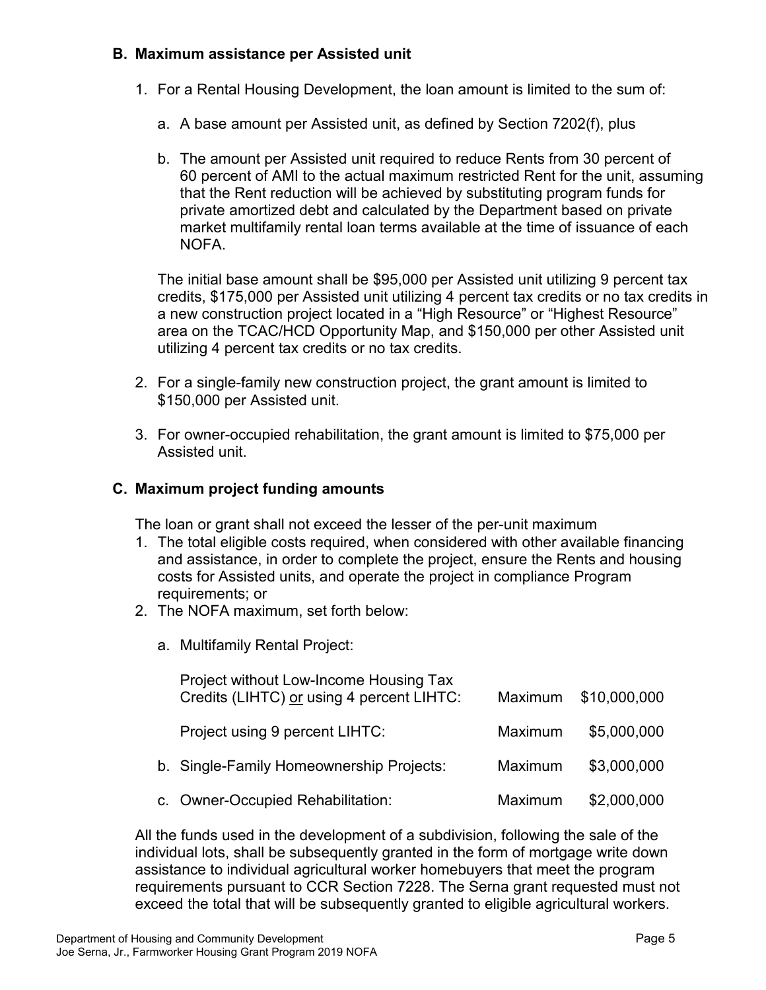## <span id="page-7-0"></span>**B. Maximum assistance per Assisted unit**

- 1. For a Rental Housing Development, the loan amount is limited to the sum of:
	- a. A base amount per Assisted unit, as defined by Section 7202(f), plus
	- b. The amount per Assisted unit required to reduce Rents from 30 percent of 60 percent of AMI to the actual maximum restricted Rent for the unit, assuming that the Rent reduction will be achieved by substituting program funds for private amortized debt and calculated by the Department based on private market multifamily rental loan terms available at the time of issuance of each NOFA.

The initial base amount shall be \$95,000 per Assisted unit utilizing 9 percent tax credits, \$175,000 per Assisted unit utilizing 4 percent tax credits or no tax credits in a new construction project located in a "High Resource" or "Highest Resource" area on the TCAC/HCD Opportunity Map, and \$150,000 per other Assisted unit utilizing 4 percent tax credits or no tax credits.

- 2. For a single-family new construction project, the grant amount is limited to \$150,000 per Assisted unit.
- 3. For owner-occupied rehabilitation, the grant amount is limited to \$75,000 per Assisted unit.

## <span id="page-7-1"></span>**C. Maximum project funding amounts**

The loan or grant shall not exceed the lesser of the per-unit maximum

- 1. The total eligible costs required, when considered with other available financing and assistance, in order to complete the project, ensure the Rents and housing costs for Assisted units, and operate the project in compliance Program requirements; or
- 2. The NOFA maximum, set forth below:
	- a. Multifamily Rental Project:

| Project without Low-Income Housing Tax<br>Credits (LIHTC) or using 4 percent LIHTC: |         | Maximum \$10,000,000 |
|-------------------------------------------------------------------------------------|---------|----------------------|
| Project using 9 percent LIHTC:                                                      | Maximum | \$5,000,000          |
| b. Single-Family Homeownership Projects:                                            | Maximum | \$3,000,000          |
| c. Owner-Occupied Rehabilitation:                                                   | Maximum | \$2,000,000          |

All the funds used in the development of a subdivision, following the sale of the individual lots, shall be subsequently granted in the form of mortgage write down assistance to individual agricultural worker homebuyers that meet the program requirements pursuant to CCR Section 7228. The Serna grant requested must not exceed the total that will be subsequently granted to eligible agricultural workers.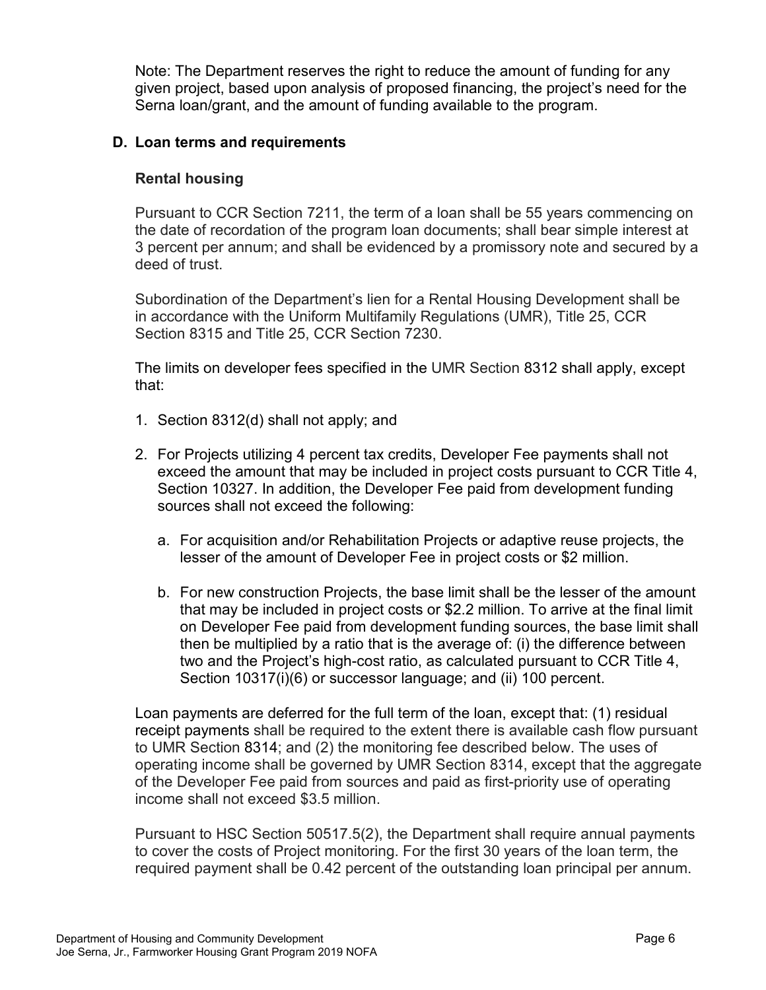Note: The Department reserves the right to reduce the amount of funding for any given project, based upon analysis of proposed financing, the project's need for the Serna loan/grant, and the amount of funding available to the program.

## <span id="page-8-0"></span>**D. Loan terms and requirements**

#### **Rental housing**

Pursuant to CCR Section 7211, the term of a loan shall be 55 years commencing on the date of recordation of the program loan documents; shall bear simple interest at 3 percent per annum; and shall be evidenced by a promissory note and secured by a deed of trust.

Subordination of the Department's lien for a Rental Housing Development shall be in accordance with the Uniform Multifamily Regulations (UMR), Title 25, CCR Section 8315 and Title 25, CCR Section 7230.

The limits on developer fees specified in the UMR Section 8312 shall apply, except that:

- 1. Section 8312(d) shall not apply; and
- 2. For Projects utilizing 4 percent tax credits, Developer Fee payments shall not exceed the amount that may be included in project costs pursuant to CCR Title 4, Section 10327. In addition, the Developer Fee paid from development funding sources shall not exceed the following:
	- a. For acquisition and/or Rehabilitation Projects or adaptive reuse projects, the lesser of the amount of Developer Fee in project costs or \$2 million.
	- b. For new construction Projects, the base limit shall be the lesser of the amount that may be included in project costs or \$2.2 million. To arrive at the final limit on Developer Fee paid from development funding sources, the base limit shall then be multiplied by a ratio that is the average of: (i) the difference between two and the Project's high-cost ratio, as calculated pursuant to CCR Title 4, Section 10317(i)(6) or successor language; and (ii) 100 percent.

Loan payments are deferred for the full term of the loan, except that: (1) residual receipt payments shall be required to the extent there is available cash flow pursuant to UMR Section [8314;](https://govt.westlaw.com/calregs/Document/I8B551560AF804D86AF1F6053C25E36A3?originationContext=Search+Result&listSource=Search&viewType=FullText&navigationPath=Search%2fv3%2fsearch%2fresults%2fnavigation%2fi0ad7140a0000016a12ba28c1c31c4242%3fstartIndex%3d1%26Nav%3dREGULATION_PUBLICVIEW%26contextData%3d(sc.Default)&rank=1&list=REGULATION_PUBLICVIEW&transitionType=SearchItem&contextData=(sc.Search)&t_T1=25&t_T2=8314&t_S1=CA+ADC+s) and (2) the monitoring fee described below. The uses of operating income shall be governed by UMR Section 8314, except that the aggregate of the Developer Fee paid from sources and paid as first-priority use of operating income shall not exceed \$3.5 million.

Pursuant to HSC Section 50517.5(2), the Department shall require annual payments to cover the costs of Project monitoring. For the first 30 years of the loan term, the required payment shall be 0.42 percent of the outstanding loan principal per annum.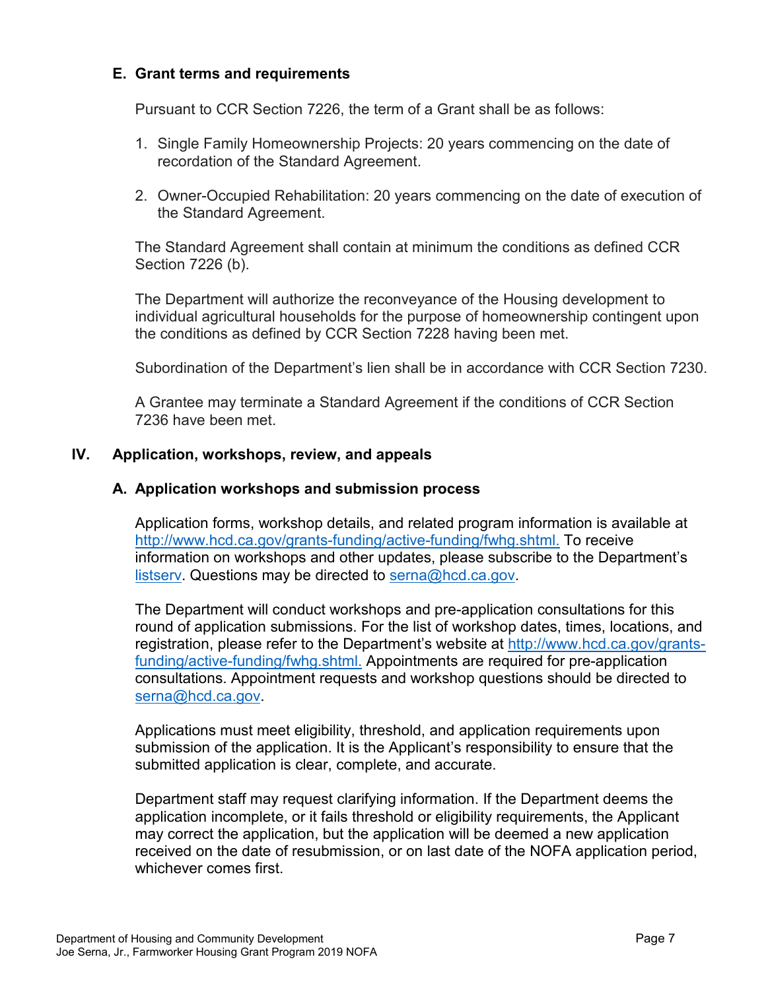#### <span id="page-9-0"></span>**E. Grant terms and requirements**

Pursuant to CCR Section 7226, the term of a Grant shall be as follows:

- 1. Single Family Homeownership Projects: 20 years commencing on the date of recordation of the Standard Agreement.
- 2. Owner-Occupied Rehabilitation: 20 years commencing on the date of execution of the Standard Agreement.

The Standard Agreement shall contain at minimum the conditions as defined CCR Section 7226 (b).

The Department will authorize the reconveyance of the Housing development to individual agricultural households for the purpose of homeownership contingent upon the conditions as defined by CCR Section 7228 having been met.

Subordination of the Department's lien shall be in accordance with CCR Section 7230.

A Grantee may terminate a Standard Agreement if the conditions of CCR Section 7236 have been met.

#### <span id="page-9-1"></span>**IV. Application, workshops, review, and appeals**

#### <span id="page-9-2"></span>**A. Application workshops and submission process**

Application forms, workshop details, and related program information is available at [http://www.hcd.ca.gov/grants-funding/active-funding/fwhg.shtml.](http://www.hcd.ca.gov/grants-funding/active-funding/fwhg.shtml) To receive information on workshops and other updates, please subscribe to the Department's [listserv.](http://www.hcd.ca.gov/HCD_SSI/subscribe-form.html) Questions may be directed to [serna@hcd.ca.gov.](mailto:serna@hcd.ca.gov)

The Department will conduct workshops and pre-application consultations for this round of application submissions. For the list of workshop dates, times, locations, and registration, please refer to the Department's website at [http://www.hcd.ca.gov/grants](http://www.hcd.ca.gov/grants-funding/active-funding/fwhg.shtml)funding/active-funding/fwhg.shtml. Appointments are required for pre-application consultations. Appointment requests and workshop questions should be directed to [serna@hcd.ca.gov.](mailto:serna@hcd.ca.gov)

Applications must meet eligibility, threshold, and application requirements upon submission of the application. It is the Applicant's responsibility to ensure that the submitted application is clear, complete, and accurate.

Department staff may request clarifying information. If the Department deems the application incomplete, or it fails threshold or eligibility requirements, the Applicant may correct the application, but the application will be deemed a new application received on the date of resubmission, or on last date of the NOFA application period, whichever comes first.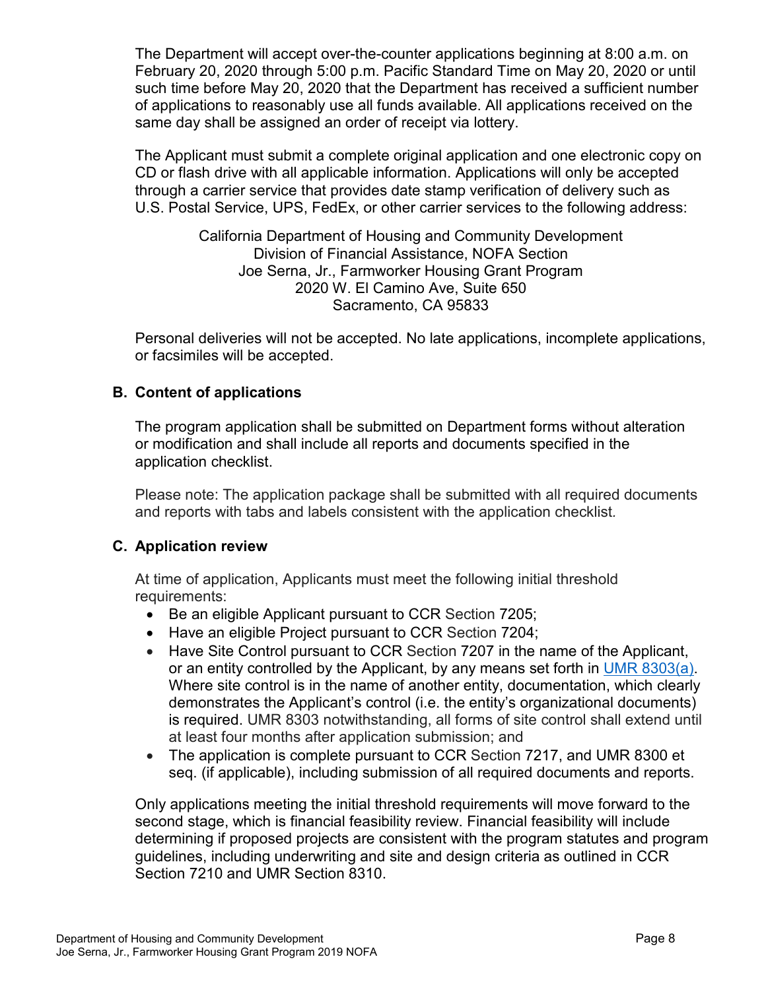The Department will accept over-the-counter applications beginning at 8:00 a.m. on February 20, 2020 through 5:00 p.m. Pacific Standard Time on May 20, 2020 or until such time before May 20, 2020 that the Department has received a sufficient number of applications to reasonably use all funds available. All applications received on the same day shall be assigned an order of receipt via lottery.

The Applicant must submit a complete original application and one electronic copy on CD or flash drive with all applicable information. Applications will only be accepted through a carrier service that provides date stamp verification of delivery such as U.S. Postal Service, UPS, FedEx, or other carrier services to the following address:

> California Department of Housing and Community Development Division of Financial Assistance, NOFA Section Joe Serna, Jr., Farmworker Housing Grant Program 2020 W. El Camino Ave, Suite 650 Sacramento, CA 95833

Personal deliveries will not be accepted. No late applications, incomplete applications, or facsimiles will be accepted.

## <span id="page-10-0"></span>**B. Content of applications**

The program application shall be submitted on Department forms without alteration or modification and shall include all reports and documents specified in the application checklist.

Please note: The application package shall be submitted with all required documents and reports with tabs and labels consistent with the application checklist*.* 

#### <span id="page-10-1"></span>**C. Application review**

At time of application, Applicants must meet the following initial threshold requirements:

- Be an eligible Applicant pursuant to CCR Section 7205;
- Have an eligible Project pursuant to CCR Section 7204;
- Have Site Control pursuant to CCR Section 7207 in the name of the Applicant, or an entity controlled by the Applicant, by any means set forth in UMR 8303(a). Where site control is in the name of another entity, documentation, which clearly demonstrates the Applicant's control (i.e. the entity's organizational documents) is required. UMR 8303 notwithstanding, all forms of site control shall extend until at least four months after application submission; and
- The application is complete pursuant to CCR Section 7217, and UMR 8300 et seq. (if applicable), including submission of all required documents and reports.

Only applications meeting the initial threshold requirements will move forward to the second stage, which is financial feasibility review. Financial feasibility will include determining if proposed projects are consistent with the program statutes and program guidelines, including underwriting and site and design criteria as outlined in CCR Section 7210 and UMR Section 8310.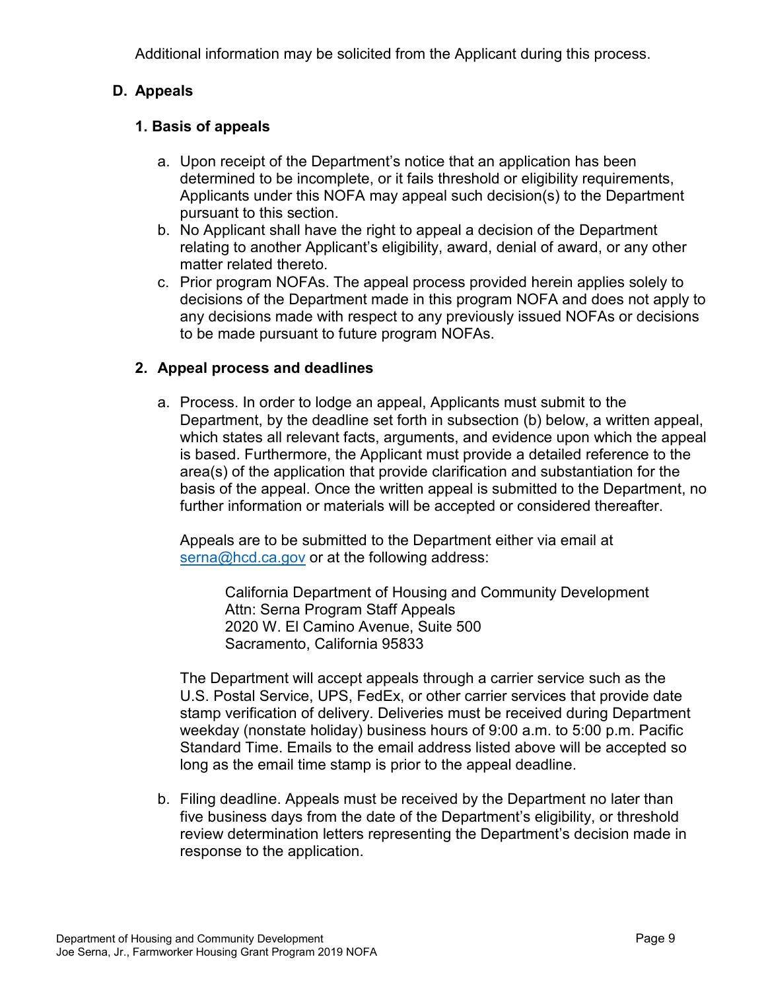Additional information may be solicited from the Applicant during this process.

## <span id="page-11-0"></span>**D. Appeals**

## **1. Basis of appeals**

- a. Upon receipt of the Department's notice that an application has been determined to be incomplete, or it fails threshold or eligibility requirements, Applicants under this NOFA may appeal such decision(s) to the Department pursuant to this section.
- b. No Applicant shall have the right to appeal a decision of the Department relating to another Applicant's eligibility, award, denial of award, or any other matter related thereto.
- c. Prior program NOFAs. The appeal process provided herein applies solely to decisions of the Department made in this program NOFA and does not apply to any decisions made with respect to any previously issued NOFAs or decisions to be made pursuant to future program NOFAs.

## **2. Appeal process and deadlines**

a. Process. In order to lodge an appeal, Applicants must submit to the Department, by the deadline set forth in subsection (b) below, a written appeal, which states all relevant facts, arguments, and evidence upon which the appeal is based. Furthermore, the Applicant must provide a detailed reference to the area(s) of the application that provide clarification and substantiation for the basis of the appeal. Once the written appeal is submitted to the Department, no further information or materials will be accepted or considered thereafter.

Appeals are to be submitted to the Department either via email at [serna@hcd.ca.gov](mailto:serna@hcd.ca.gov) or at the following address:

> California Department of Housing and Community Development Attn: Serna Program Staff Appeals 2020 W. El Camino Avenue, Suite 500 Sacramento, California 95833

The Department will accept appeals through a carrier service such as the U.S. Postal Service, UPS, FedEx, or other carrier services that provide date stamp verification of delivery. Deliveries must be received during Department weekday (nonstate holiday) business hours of 9:00 a.m. to 5:00 p.m. Pacific Standard Time. Emails to the email address listed above will be accepted so long as the email time stamp is prior to the appeal deadline.

b. Filing deadline. Appeals must be received by the Department no later than five business days from the date of the Department's eligibility, or threshold review determination letters representing the Department's decision made in response to the application.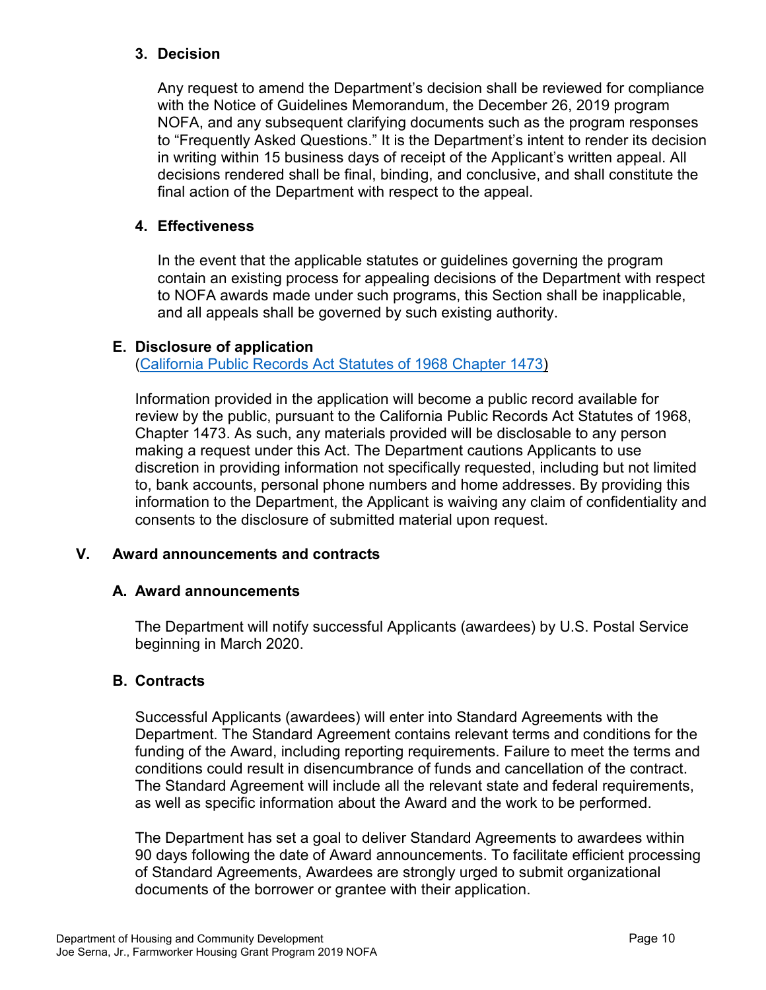## **3. Decision**

Any request to amend the Department's decision shall be reviewed for compliance with the Notice of Guidelines Memorandum, the December 26, 2019 program NOFA, and any subsequent clarifying documents such as the program responses to "Frequently Asked Questions." It is the Department's intent to render its decision in writing within 15 business days of receipt of the Applicant's written appeal. All decisions rendered shall be final, binding, and conclusive, and shall constitute the final action of the Department with respect to the appeal.

## **4. Effectiveness**

In the event that the applicable statutes or guidelines governing the program contain an existing process for appealing decisions of the Department with respect to NOFA awards made under such programs, this Section shall be inapplicable, and all appeals shall be governed by such existing authority.

## <span id="page-12-0"></span>**E. Disclosure of application**

[\(California Public Records Act Statutes of 1968 Chapter](https://leginfo.legislature.ca.gov/faces/codes_displayText.xhtml?division=7.&chapter=3.5.&lawCode=GOV&title=1.&article=1) 1473)

Information provided in the application will become a public record available for review by the public, pursuant to the California Public Records Act Statutes of 1968, Chapter 1473. As such, any materials provided will be disclosable to any person making a request under this Act. The Department cautions Applicants to use discretion in providing information not specifically requested, including but not limited to, bank accounts, personal phone numbers and home addresses. By providing this information to the Department, the Applicant is waiving any claim of confidentiality and consents to the disclosure of submitted material upon request.

## <span id="page-12-1"></span>**V. Award announcements and contracts**

#### <span id="page-12-2"></span>**A. Award announcements**

The Department will notify successful Applicants (awardees) by U.S. Postal Service beginning in March 2020.

#### <span id="page-12-3"></span>**B. Contracts**

Successful Applicants (awardees) will enter into Standard Agreements with the Department. The Standard Agreement contains relevant terms and conditions for the funding of the Award, including reporting requirements. Failure to meet the terms and conditions could result in disencumbrance of funds and cancellation of the contract. The Standard Agreement will include all the relevant state and federal requirements, as well as specific information about the Award and the work to be performed.

The Department has set a goal to deliver Standard Agreements to awardees within 90 days following the date of Award announcements. To facilitate efficient processing of Standard Agreements, Awardees are strongly urged to submit organizational documents of the borrower or grantee with their application.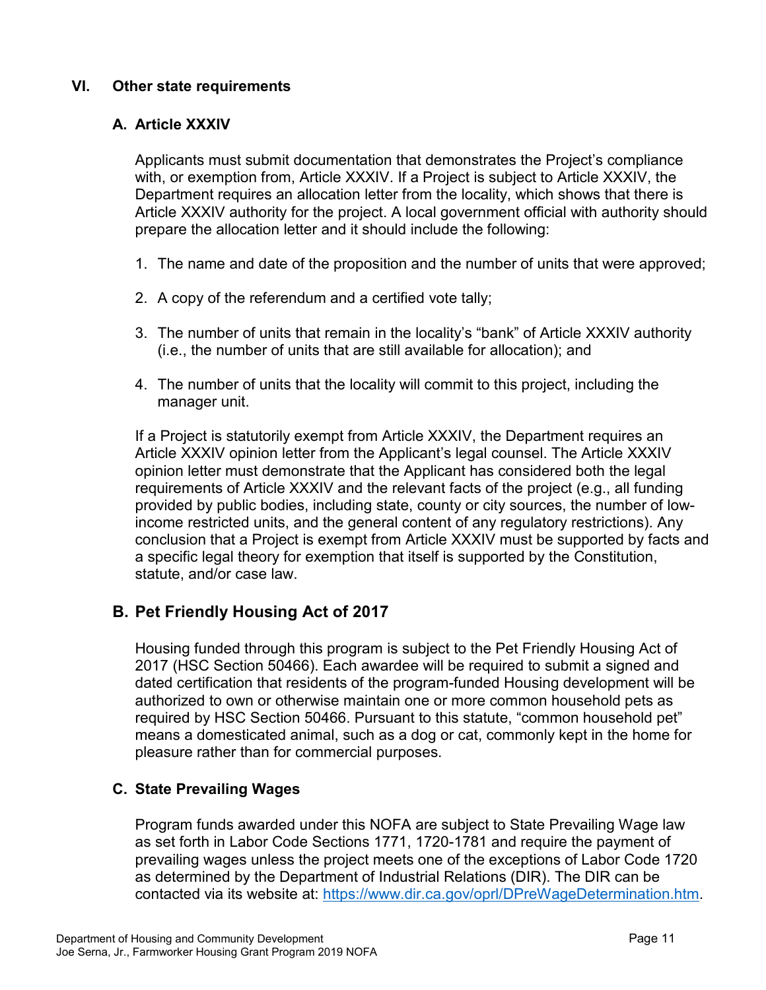## <span id="page-13-0"></span>**VI. Other state requirements**

## <span id="page-13-1"></span>**A. Article XXXIV**

Applicants must submit documentation that demonstrates the Project's compliance with, or exemption from, Article XXXIV. If a Project is subject to Article XXXIV, the Department requires an allocation letter from the locality, which shows that there is Article XXXIV authority for the project. A local government official with authority should prepare the allocation letter and it should include the following:

- 1. The name and date of the proposition and the number of units that were approved;
- 2. A copy of the referendum and a certified vote tally;
- 3. The number of units that remain in the locality's "bank" of Article XXXIV authority (i.e., the number of units that are still available for allocation); and
- 4. The number of units that the locality will commit to this project, including the manager unit.

If a Project is statutorily exempt from Article XXXIV, the Department requires an Article XXXIV opinion letter from the Applicant's legal counsel. The Article XXXIV opinion letter must demonstrate that the Applicant has considered both the legal requirements of Article XXXIV and the relevant facts of the project (e.g., all funding provided by public bodies, including state, county or city sources, the number of lowincome restricted units, and the general content of any regulatory restrictions). Any conclusion that a Project is exempt from Article XXXIV must be supported by facts and a specific legal theory for exemption that itself is supported by the Constitution, statute, and/or case law.

## <span id="page-13-2"></span>**B. Pet Friendly Housing Act of 2017**

Housing funded through this program is subject to the Pet Friendly Housing Act of 2017 (HSC Section 50466). Each awardee will be required to submit a signed and dated certification that residents of the program-funded Housing development will be authorized to own or otherwise maintain one or more common household pets as required by HSC Section 50466. Pursuant to this statute, "common household pet" means a domesticated animal, such as a dog or cat, commonly kept in the home for pleasure rather than for commercial purposes.

## <span id="page-13-3"></span>**C. State Prevailing Wages**

Program funds awarded under this NOFA are subject to State Prevailing Wage law as set forth in Labor Code Sections 1771, 1720-1781 and require the payment of prevailing wages unless the project meets one of the exceptions of Labor Code 1720 as determined by the Department of Industrial Relations (DIR). The DIR can be contacted via its website at: [https://www.dir.ca.gov/oprl/DPreWageDetermination.htm.](https://www.dir.ca.gov/oprl/DPreWageDetermination.htm)